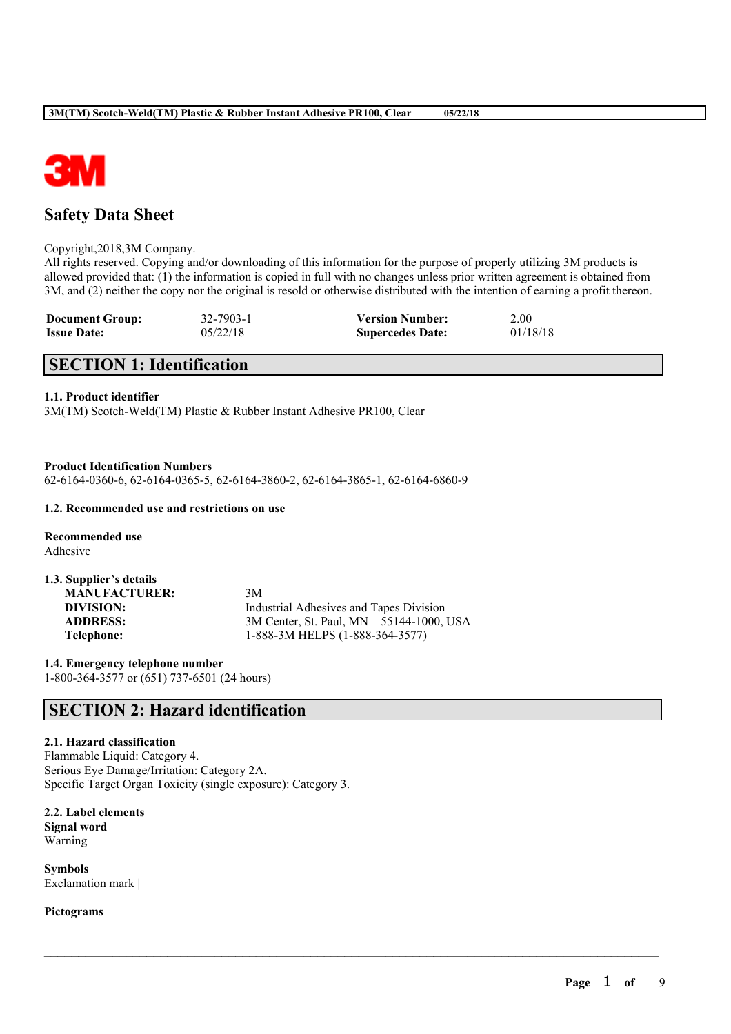

# **Safety Data Sheet**

#### Copyright,2018,3M Company.

All rights reserved. Copying and/or downloading of this information for the purpose of properly utilizing 3M products is allowed provided that: (1) the information is copied in full with no changes unless prior written agreement is obtained from 3M, and (2) neither the copy nor the original is resold or otherwise distributed with the intention of earning a profit thereon.

 $\mathcal{L}_\mathcal{L} = \mathcal{L}_\mathcal{L} = \mathcal{L}_\mathcal{L} = \mathcal{L}_\mathcal{L} = \mathcal{L}_\mathcal{L} = \mathcal{L}_\mathcal{L} = \mathcal{L}_\mathcal{L} = \mathcal{L}_\mathcal{L} = \mathcal{L}_\mathcal{L} = \mathcal{L}_\mathcal{L} = \mathcal{L}_\mathcal{L} = \mathcal{L}_\mathcal{L} = \mathcal{L}_\mathcal{L} = \mathcal{L}_\mathcal{L} = \mathcal{L}_\mathcal{L} = \mathcal{L}_\mathcal{L} = \mathcal{L}_\mathcal{L}$ 

| <b>Document Group:</b> | 32-7903-1 | <b>Version Number:</b>  | 2.00     |
|------------------------|-----------|-------------------------|----------|
| <b>Issue Date:</b>     | 05/22/18  | <b>Supercedes Date:</b> | 01/18/18 |

# **SECTION 1: Identification**

## **1.1. Product identifier**

3M(TM) Scotch-Weld(TM) Plastic & Rubber Instant Adhesive PR100, Clear

**Product Identification Numbers**

62-6164-0360-6, 62-6164-0365-5, 62-6164-3860-2, 62-6164-3865-1, 62-6164-6860-9

#### **1.2. Recommended use and restrictions on use**

**Recommended use** Adhesive

| 1.3. Supplier's details |                                         |
|-------------------------|-----------------------------------------|
| <b>MANUFACTURER:</b>    | 3M                                      |
| DIVISION:               | Industrial Adhesives and Tapes Division |
| <b>ADDRESS:</b>         | 3M Center, St. Paul, MN 55144-1000, USA |
| Telephone:              | 1-888-3M HELPS (1-888-364-3577)         |

**1.4. Emergency telephone number** 1-800-364-3577 or (651) 737-6501 (24 hours)

## **SECTION 2: Hazard identification**

## **2.1. Hazard classification**

Flammable Liquid: Category 4. Serious Eye Damage/Irritation: Category 2A. Specific Target Organ Toxicity (single exposure): Category 3.

**2.2. Label elements Signal word** Warning

**Symbols** Exclamation mark |

**Pictograms**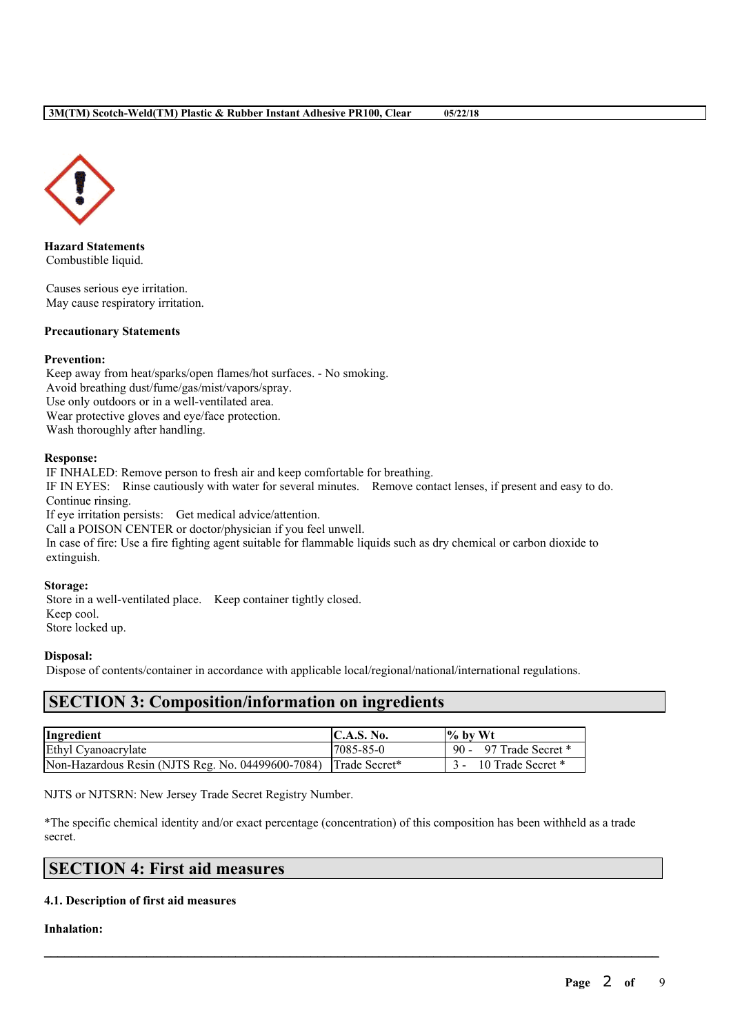

**Hazard Statements** Combustible liquid.

Causes serious eye irritation. May cause respiratory irritation.

## **Precautionary Statements**

## **Prevention:**

Keep away from heat/sparks/open flames/hot surfaces. - No smoking. Avoid breathing dust/fume/gas/mist/vapors/spray. Use only outdoors or in a well-ventilated area. Wear protective gloves and eye/face protection. Wash thoroughly after handling.

## **Response:**

IF INHALED: Remove person to fresh air and keep comfortable for breathing. IF IN EYES: Rinse cautiously with water for several minutes. Remove contact lenses, if present and easy to do. Continue rinsing. If eye irritation persists: Get medical advice/attention. Call a POISON CENTER or doctor/physician if you feel unwell. In case of fire: Use a fire fighting agent suitable for flammable liquids such as dry chemical or carbon dioxide to

# extinguish. **Storage:**

Store in a well-ventilated place. Keep container tightly closed. Keep cool. Store locked up.

## **Disposal:**

Dispose of contents/container in accordance with applicable local/regional/national/international regulations.

## **SECTION 3: Composition/information on ingredients**

| Ingredient                                                      | C.A.S. No. | $\frac{9}{6}$ by Wt    |
|-----------------------------------------------------------------|------------|------------------------|
| Ethyl Cyanoacrylate                                             | 7085-85-0  | 90 - 97 Trade Secret * |
| Non-Hazardous Resin (NJTS Reg. No. 04499600-7084) Trade Secret* |            | 10 Trade Secret *      |

NJTS or NJTSRN: New Jersey Trade Secret Registry Number.

\*The specific chemical identity and/or exact percentage (concentration) of this composition has been withheld as a trade secret.

 $\mathcal{L}_\mathcal{L} = \mathcal{L}_\mathcal{L} = \mathcal{L}_\mathcal{L} = \mathcal{L}_\mathcal{L} = \mathcal{L}_\mathcal{L} = \mathcal{L}_\mathcal{L} = \mathcal{L}_\mathcal{L} = \mathcal{L}_\mathcal{L} = \mathcal{L}_\mathcal{L} = \mathcal{L}_\mathcal{L} = \mathcal{L}_\mathcal{L} = \mathcal{L}_\mathcal{L} = \mathcal{L}_\mathcal{L} = \mathcal{L}_\mathcal{L} = \mathcal{L}_\mathcal{L} = \mathcal{L}_\mathcal{L} = \mathcal{L}_\mathcal{L}$ 

## **SECTION 4: First aid measures**

## **4.1. Description of first aid measures**

## **Inhalation:**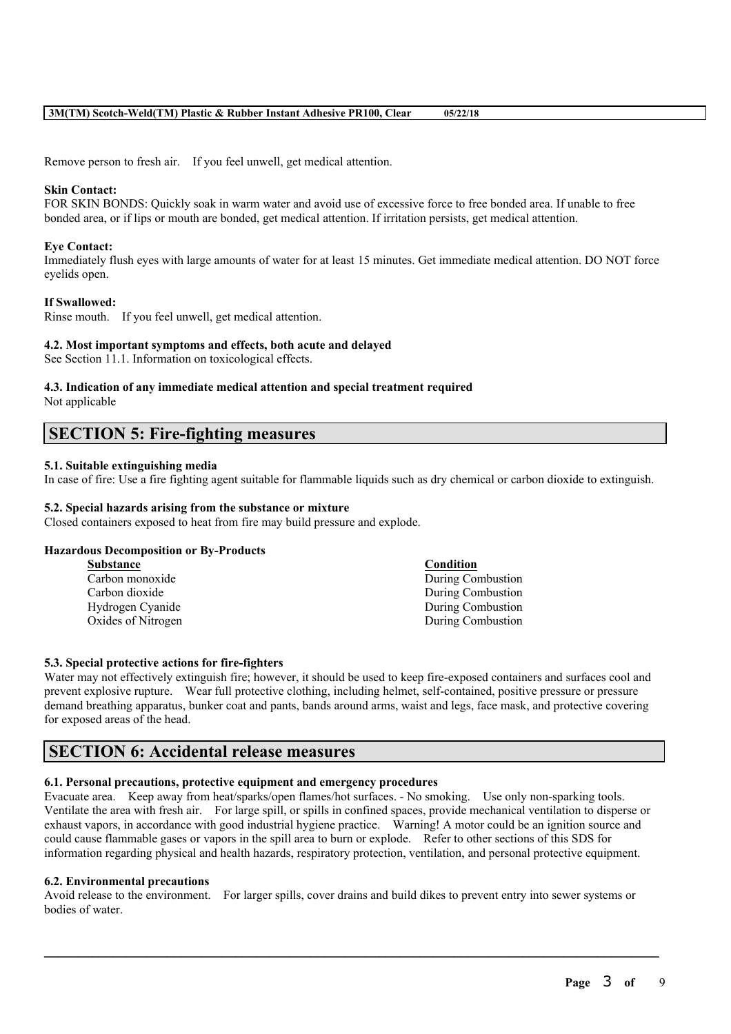Remove person to fresh air. If you feel unwell, get medical attention.

#### **Skin Contact:**

FOR SKIN BONDS: Quickly soak in warm water and avoid use of excessive force to free bonded area. If unable to free bonded area, or if lips or mouth are bonded, get medical attention. If irritation persists, get medical attention.

#### **Eye Contact:**

Immediately flush eyes with large amounts of water for at least 15 minutes. Get immediate medical attention. DO NOT force eyelids open.

#### **If Swallowed:**

Rinse mouth. If you feel unwell, get medical attention.

#### **4.2. Most important symptoms and effects, both acute and delayed**

See Section 11.1. Information on toxicological effects.

# **4.3. Indication of any immediate medical attention and special treatment required**

Not applicable

## **SECTION 5: Fire-fighting measures**

## **5.1. Suitable extinguishing media**

In case of fire: Use a fire fighting agent suitable for flammable liquids such as dry chemical or carbon dioxide to extinguish.

## **5.2. Special hazards arising from the substance or mixture**

Closed containers exposed to heat from fire may build pressure and explode.

#### **Hazardous Decomposition or By-Products**

| <b>Substance</b>   | Condition         |
|--------------------|-------------------|
| Carbon monoxide    | During Combustion |
| Carbon dioxide     | During Combustion |
| Hydrogen Cyanide   | During Combustion |
| Oxides of Nitrogen | During Combustion |
|                    |                   |

#### **5.3. Special protective actions for fire-fighters**

Water may not effectively extinguish fire; however, it should be used to keep fire-exposed containers and surfaces cool and prevent explosive rupture. Wear full protective clothing, including helmet, self-contained, positive pressure or pressure demand breathing apparatus, bunker coat and pants, bands around arms, waist and legs, face mask, and protective covering for exposed areas of the head.

## **SECTION 6: Accidental release measures**

#### **6.1. Personal precautions, protective equipment and emergency procedures**

Evacuate area. Keep away from heat/sparks/open flames/hot surfaces. - No smoking. Use only non-sparking tools. Ventilate the area with fresh air. For large spill, or spills in confined spaces, provide mechanical ventilation to disperse or exhaust vapors, in accordance with good industrial hygiene practice. Warning! A motor could be an ignition source and could cause flammable gases or vapors in the spill area to burn or explode. Refer to other sections of this SDS for information regarding physical and health hazards, respiratory protection, ventilation, and personal protective equipment.

#### **6.2. Environmental precautions**

Avoid release to the environment. For larger spills, cover drains and build dikes to prevent entry into sewer systems or bodies of water.

 $\mathcal{L}_\mathcal{L} = \mathcal{L}_\mathcal{L} = \mathcal{L}_\mathcal{L} = \mathcal{L}_\mathcal{L} = \mathcal{L}_\mathcal{L} = \mathcal{L}_\mathcal{L} = \mathcal{L}_\mathcal{L} = \mathcal{L}_\mathcal{L} = \mathcal{L}_\mathcal{L} = \mathcal{L}_\mathcal{L} = \mathcal{L}_\mathcal{L} = \mathcal{L}_\mathcal{L} = \mathcal{L}_\mathcal{L} = \mathcal{L}_\mathcal{L} = \mathcal{L}_\mathcal{L} = \mathcal{L}_\mathcal{L} = \mathcal{L}_\mathcal{L}$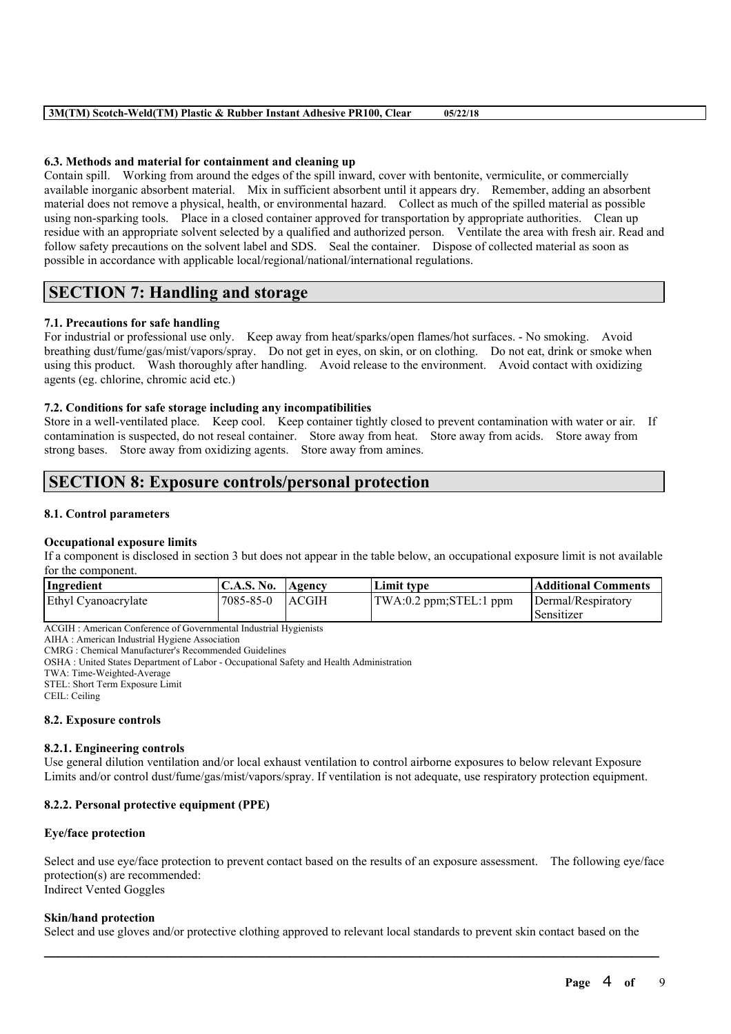### **6.3. Methods and material for containment and cleaning up**

Contain spill. Working from around the edges of the spill inward, cover with bentonite, vermiculite, or commercially available inorganic absorbent material. Mix in sufficient absorbent until it appears dry. Remember, adding an absorbent material does not remove a physical, health, or environmental hazard. Collect as much of the spilled material as possible using non-sparking tools. Place in a closed container approved for transportation by appropriate authorities. Clean up residue with an appropriate solvent selected by a qualified and authorized person. Ventilate the area with fresh air. Read and follow safety precautions on the solvent label and SDS. Seal the container. Dispose of collected material as soon as possible in accordance with applicable local/regional/national/international regulations.

# **SECTION 7: Handling and storage**

## **7.1. Precautions for safe handling**

For industrial or professional use only. Keep away from heat/sparks/open flames/hot surfaces. - No smoking. Avoid breathing dust/fume/gas/mist/vapors/spray. Do not get in eyes, on skin, or on clothing. Do not eat, drink or smoke when using this product. Wash thoroughly after handling. Avoid release to the environment. Avoid contact with oxidizing agents (eg. chlorine, chromic acid etc.)

## **7.2. Conditions for safe storage including any incompatibilities**

Store in a well-ventilated place. Keep cool. Keep container tightly closed to prevent contamination with water or air. If contamination is suspected, do not reseal container. Store away from heat. Store away from acids. Store away from strong bases. Store away from oxidizing agents. Store away from amines.

## **SECTION 8: Exposure controls/personal protection**

#### **8.1. Control parameters**

#### **Occupational exposure limits**

If a component is disclosed in section 3 but does not appear in the table below, an occupational exposure limit is not available for the component.

| Ingredient          | C.A.S. No. Agency |              | Limit type                | Additional Comments |
|---------------------|-------------------|--------------|---------------------------|---------------------|
| Ethyl Cyanoacrylate | 7085-85-0         | <b>ACGIH</b> | TWA: 0.2 ppm; STEL: 1 ppm | Dermal/Respiratory  |
|                     |                   |              |                           | Sensitizer          |

ACGIH : American Conference of Governmental Industrial Hygienists

AIHA : American Industrial Hygiene Association CMRG : Chemical Manufacturer's Recommended Guidelines

OSHA : United States Department of Labor - Occupational Safety and Health Administration

TWA: Time-Weighted-Average

STEL: Short Term Exposure Limit

CEIL: Ceiling

#### **8.2. Exposure controls**

#### **8.2.1. Engineering controls**

Use general dilution ventilation and/or local exhaust ventilation to control airborne exposures to below relevant Exposure Limits and/or control dust/fume/gas/mist/vapors/spray. If ventilation is not adequate, use respiratory protection equipment.

## **8.2.2. Personal protective equipment (PPE)**

## **Eye/face protection**

Select and use eye/face protection to prevent contact based on the results of an exposure assessment. The following eye/face protection(s) are recommended: Indirect Vented Goggles

#### **Skin/hand protection**

Select and use gloves and/or protective clothing approved to relevant local standards to prevent skin contact based on the

 $\mathcal{L}_\mathcal{L} = \mathcal{L}_\mathcal{L} = \mathcal{L}_\mathcal{L} = \mathcal{L}_\mathcal{L} = \mathcal{L}_\mathcal{L} = \mathcal{L}_\mathcal{L} = \mathcal{L}_\mathcal{L} = \mathcal{L}_\mathcal{L} = \mathcal{L}_\mathcal{L} = \mathcal{L}_\mathcal{L} = \mathcal{L}_\mathcal{L} = \mathcal{L}_\mathcal{L} = \mathcal{L}_\mathcal{L} = \mathcal{L}_\mathcal{L} = \mathcal{L}_\mathcal{L} = \mathcal{L}_\mathcal{L} = \mathcal{L}_\mathcal{L}$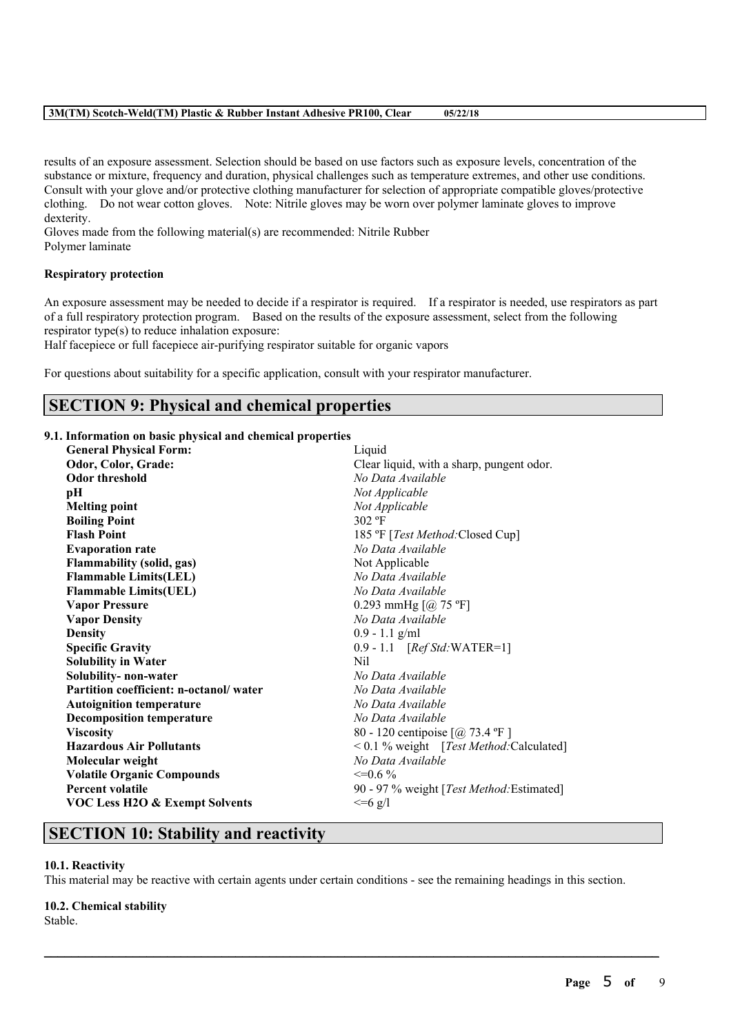results of an exposure assessment. Selection should be based on use factors such as exposure levels, concentration of the substance or mixture, frequency and duration, physical challenges such as temperature extremes, and other use conditions. Consult with your glove and/or protective clothing manufacturer for selection of appropriate compatible gloves/protective clothing. Do not wear cotton gloves. Note: Nitrile gloves may be worn over polymer laminate gloves to improve dexterity.

Gloves made from the following material(s) are recommended: Nitrile Rubber Polymer laminate

### **Respiratory protection**

An exposure assessment may be needed to decide if a respirator is required. If a respirator is needed, use respirators as part of a full respiratory protection program. Based on the results of the exposure assessment, select from the following respirator type(s) to reduce inhalation exposure:

Half facepiece or full facepiece air-purifying respirator suitable for organic vapors

For questions about suitability for a specific application, consult with your respirator manufacturer.

## **SECTION 9: Physical and chemical properties**

## **9.1. Information on basic physical and chemical properties**

| <b>General Physical Form:</b>          | Liquid                                     |
|----------------------------------------|--------------------------------------------|
| Odor, Color, Grade:                    | Clear liquid, with a sharp, pungent odor.  |
| <b>Odor threshold</b>                  | No Data Available                          |
| pН                                     | Not Applicable                             |
| <b>Melting point</b>                   | Not Applicable                             |
| <b>Boiling Point</b>                   | $302$ °F                                   |
| <b>Flash Point</b>                     | 185 °F [ <i>Test Method</i> :Closed Cup]   |
| <b>Evaporation rate</b>                | No Data Available                          |
| Flammability (solid, gas)              | Not Applicable                             |
| <b>Flammable Limits(LEL)</b>           | No Data Available                          |
| <b>Flammable Limits(UEL)</b>           | No Data Available                          |
| <b>Vapor Pressure</b>                  | 0.293 mmHg $[@]$ 75 °F]                    |
| <b>Vapor Density</b>                   | No Data Available                          |
| <b>Density</b>                         | $0.9 - 1.1$ g/ml                           |
| <b>Specific Gravity</b>                | $0.9 - 1.1$ [Ref Std: WATER=1]             |
| <b>Solubility in Water</b>             | Nil                                        |
| Solubility- non-water                  | No Data Available                          |
| Partition coefficient: n-octanol/water | No Data Available                          |
| <b>Autoignition temperature</b>        | No Data Available                          |
| <b>Decomposition temperature</b>       | No Data Available                          |
| <b>Viscosity</b>                       | 80 - 120 centipoise [@ 73.4 °F ]           |
| <b>Hazardous Air Pollutants</b>        | $< 0.1$ % weight [Test Method: Calculated] |
| Molecular weight                       | No Data Available                          |
| <b>Volatile Organic Compounds</b>      | $\leq=0.6\%$                               |
| <b>Percent volatile</b>                | 90 - 97 % weight [Test Method: Estimated]  |
| VOC Less H2O & Exempt Solvents         | $<=6$ g/l                                  |
|                                        |                                            |

## **SECTION 10: Stability and reactivity**

## **10.1. Reactivity**

This material may be reactive with certain agents under certain conditions - see the remaining headings in this section.

 $\mathcal{L}_\mathcal{L} = \mathcal{L}_\mathcal{L} = \mathcal{L}_\mathcal{L} = \mathcal{L}_\mathcal{L} = \mathcal{L}_\mathcal{L} = \mathcal{L}_\mathcal{L} = \mathcal{L}_\mathcal{L} = \mathcal{L}_\mathcal{L} = \mathcal{L}_\mathcal{L} = \mathcal{L}_\mathcal{L} = \mathcal{L}_\mathcal{L} = \mathcal{L}_\mathcal{L} = \mathcal{L}_\mathcal{L} = \mathcal{L}_\mathcal{L} = \mathcal{L}_\mathcal{L} = \mathcal{L}_\mathcal{L} = \mathcal{L}_\mathcal{L}$ 

#### **10.2. Chemical stability**

Stable.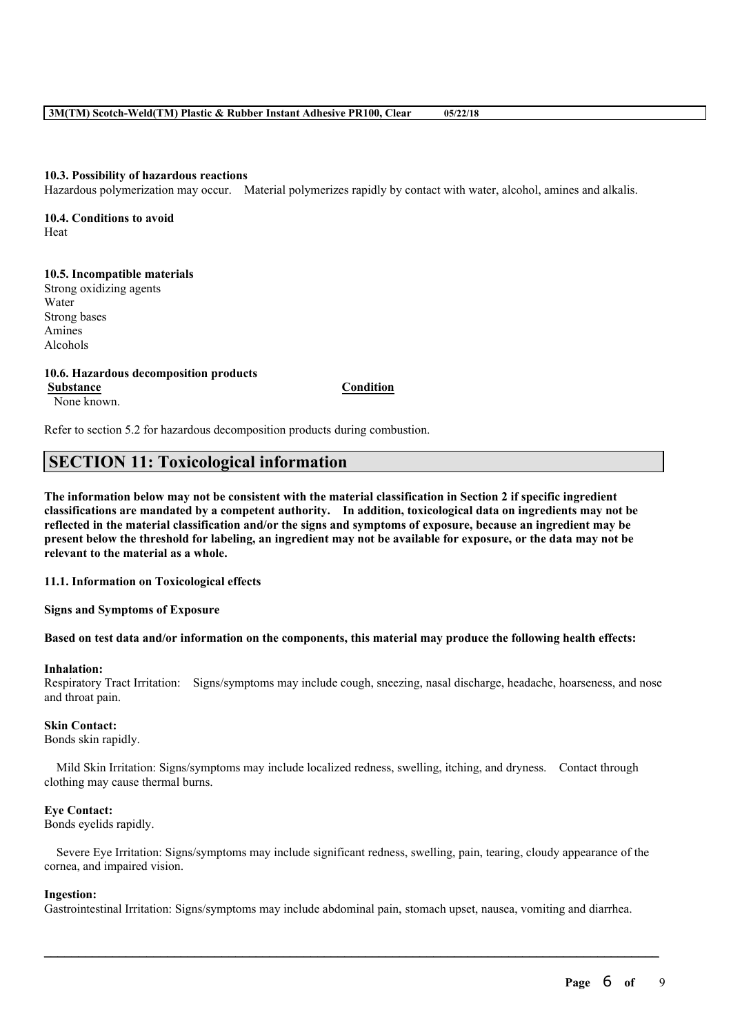#### **10.3. Possibility of hazardous reactions**

Hazardous polymerization may occur. Material polymerizes rapidly by contact with water, alcohol, amines and alkalis.

**10.4. Conditions to avoid** Heat

#### **10.5. Incompatible materials**

Strong oxidizing agents Water Strong bases Amines Alcohols

#### **10.6. Hazardous decomposition products Substance Condition**

None known.

Refer to section 5.2 for hazardous decomposition products during combustion.

## **SECTION 11: Toxicological information**

The information below may not be consistent with the material classification in Section 2 if specific ingredient **classifications are mandated by a competent authority. In addition, toxicological data on ingredients may not be** reflected in the material classification and/or the signs and symptoms of exposure, because an ingredient may be present below the threshold for labeling, an ingredient may not be available for exposure, or the data may not be **relevant to the material as a whole.**

**11.1. Information on Toxicological effects**

#### **Signs and Symptoms of Exposure**

#### Based on test data and/or information on the components, this material may produce the following health effects:

#### **Inhalation:**

Respiratory Tract Irritation: Signs/symptoms may include cough, sneezing, nasal discharge, headache, hoarseness, and nose and throat pain.

#### **Skin Contact:**

Bonds skin rapidly.

Mild Skin Irritation: Signs/symptoms may include localized redness, swelling, itching, and dryness. Contact through clothing may cause thermal burns.

#### **Eye Contact:**

Bonds eyelids rapidly.

Severe Eye Irritation: Signs/symptoms may include significant redness, swelling, pain, tearing, cloudy appearance of the cornea, and impaired vision.

#### **Ingestion:**

Gastrointestinal Irritation: Signs/symptoms may include abdominal pain, stomach upset, nausea, vomiting and diarrhea.

 $\mathcal{L}_\mathcal{L} = \mathcal{L}_\mathcal{L} = \mathcal{L}_\mathcal{L} = \mathcal{L}_\mathcal{L} = \mathcal{L}_\mathcal{L} = \mathcal{L}_\mathcal{L} = \mathcal{L}_\mathcal{L} = \mathcal{L}_\mathcal{L} = \mathcal{L}_\mathcal{L} = \mathcal{L}_\mathcal{L} = \mathcal{L}_\mathcal{L} = \mathcal{L}_\mathcal{L} = \mathcal{L}_\mathcal{L} = \mathcal{L}_\mathcal{L} = \mathcal{L}_\mathcal{L} = \mathcal{L}_\mathcal{L} = \mathcal{L}_\mathcal{L}$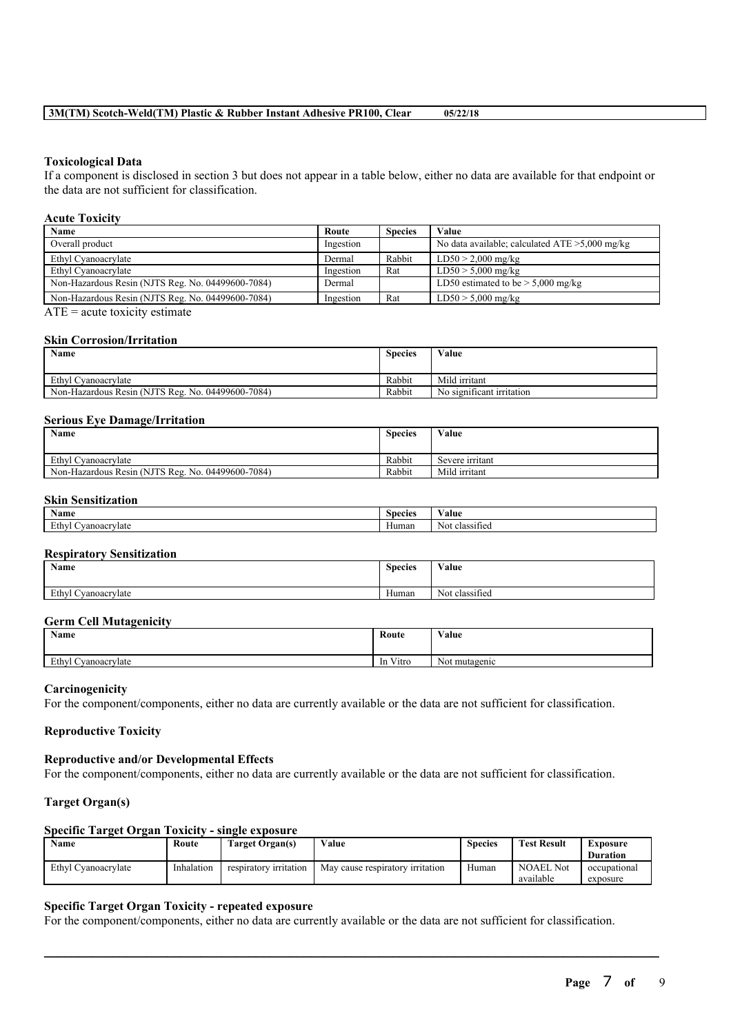#### **Toxicological Data**

If a component is disclosed in section 3 but does not appear in a table below, either no data are available for that endpoint or the data are not sufficient for classification.

### **Acute Toxicity**

| Name                                              | Route     | <b>Species</b> | Value                                             |
|---------------------------------------------------|-----------|----------------|---------------------------------------------------|
| Overall product                                   | Ingestion |                | No data available; calculated $ATE > 5,000$ mg/kg |
| Ethyl Cyanoacrylate                               | Dermal    | Rabbit         | $LD50 > 2,000$ mg/kg                              |
| Ethyl Cyanoacrylate                               | Ingestion | Rat            | $LD50 > 5,000$ mg/kg                              |
| Non-Hazardous Resin (NJTS Reg. No. 04499600-7084) | Dermal    |                | LD50 estimated to be $> 5,000$ mg/kg              |
| Non-Hazardous Resin (NJTS Reg. No. 04499600-7084) | Ingestion | Rat            | $LD50 > 5,000$ mg/kg                              |

 $ATE = acute$  toxicity estimate

#### **Skin Corrosion/Irritation**

| <b>Name</b>                                       | <b>Species</b> | Value                               |
|---------------------------------------------------|----------------|-------------------------------------|
|                                                   |                |                                     |
| Ethyl Cyanoacrylate                               | Rabbit         | Mild irritant                       |
| Non-Hazardous Resin (NJTS Reg. No. 04499600-7084) | Rabbit         | $\sim$<br>No significant irritation |

#### **Serious Eye Damage/Irritation**

| Name                                              | <b>Species</b> | Value           |
|---------------------------------------------------|----------------|-----------------|
| Ethyl Cyanoacrylate                               | Rabbit         | Severe irritant |
| Non-Hazardous Resin (NJTS Reg. No. 04499600-7084) | Rabbit         | Mild irritant   |

## **Skin Sensitization**

| <b>BY</b><br>Name           | <b>Species</b> | $-1$<br>Value           |
|-----------------------------|----------------|-------------------------|
| Ethy<br>vanoacrvlate<br>. . | $-$<br>Human   | --<br>Not<br>classified |

#### **Respiratory Sensitization**

| Name                | $\sim$<br><b>Species</b> | Value                           |
|---------------------|--------------------------|---------------------------------|
|                     |                          |                                 |
| Ethyl Cyanoacrylate | $-$<br>Human             | $\sim$<br>. .<br>Not classified |

#### **Germ Cell Mutagenicity**

| Name                          | Route                    | Value                 |
|-------------------------------|--------------------------|-----------------------|
| Ethyl<br>-<br>l Cyanoacrylate | $\mathbf{v}$<br>In Vitro | - 11<br>Not mutagenic |

#### **Carcinogenicity**

For the component/components, either no data are currently available or the data are not sufficient for classification.

### **Reproductive Toxicity**

## **Reproductive and/or Developmental Effects**

For the component/components, either no data are currently available or the data are not sufficient for classification.

## **Target Organ(s)**

## **Specific Target Organ Toxicity - single exposure**

| Name                | Route      | <b>Target Organ(s)</b> | Value                            | <b>Species</b> | <b>Test Result</b> | Exposure        |
|---------------------|------------|------------------------|----------------------------------|----------------|--------------------|-----------------|
|                     |            |                        |                                  |                |                    | <b>Duration</b> |
| Ethyl Cyanoacrylate | Inhalation | respiratory irritation | May cause respiratory irritation | Human          | <b>NOAEL Not</b>   | occupational    |
|                     |            |                        |                                  |                | available          | exposure        |

 $\mathcal{L}_\mathcal{L} = \mathcal{L}_\mathcal{L} = \mathcal{L}_\mathcal{L} = \mathcal{L}_\mathcal{L} = \mathcal{L}_\mathcal{L} = \mathcal{L}_\mathcal{L} = \mathcal{L}_\mathcal{L} = \mathcal{L}_\mathcal{L} = \mathcal{L}_\mathcal{L} = \mathcal{L}_\mathcal{L} = \mathcal{L}_\mathcal{L} = \mathcal{L}_\mathcal{L} = \mathcal{L}_\mathcal{L} = \mathcal{L}_\mathcal{L} = \mathcal{L}_\mathcal{L} = \mathcal{L}_\mathcal{L} = \mathcal{L}_\mathcal{L}$ 

## **Specific Target Organ Toxicity - repeated exposure**

For the component/components, either no data are currently available or the data are not sufficient for classification.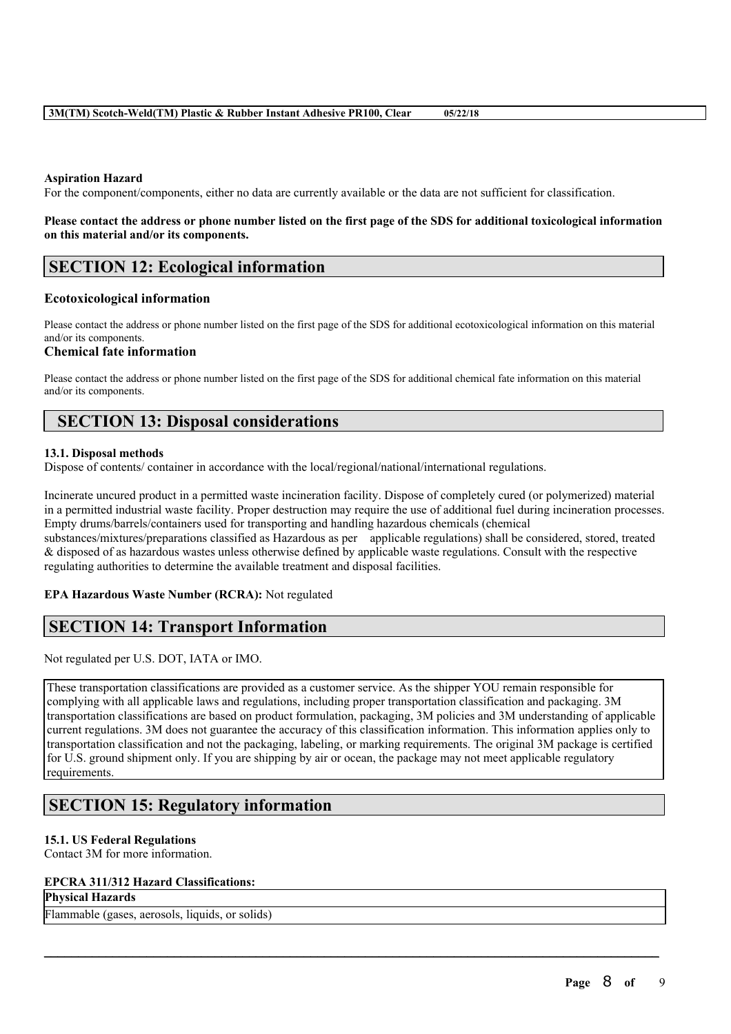## **Aspiration Hazard**

For the component/components, either no data are currently available or the data are not sufficient for classification.

## Please contact the address or phone number listed on the first page of the SDS for additional toxicological information **on this material and/or its components.**

# **SECTION 12: Ecological information**

## **Ecotoxicological information**

Please contact the address or phone number listed on the first page of the SDS for additional ecotoxicological information on this material and/or its components.

## **Chemical fate information**

Please contact the address or phone number listed on the first page of the SDS for additional chemical fate information on this material and/or its components.

## **SECTION 13: Disposal considerations**

## **13.1. Disposal methods**

Dispose of contents/ container in accordance with the local/regional/national/international regulations.

Incinerate uncured product in a permitted waste incineration facility. Dispose of completely cured (or polymerized) material in a permitted industrial waste facility. Proper destruction may require the use of additional fuel during incineration processes. Empty drums/barrels/containers used for transporting and handling hazardous chemicals (chemical substances/mixtures/preparations classified as Hazardous as per applicable regulations) shall be considered, stored, treated & disposed of as hazardous wastes unless otherwise defined by applicable waste regulations. Consult with the respective regulating authorities to determine the available treatment and disposal facilities.

## **EPA Hazardous Waste Number (RCRA):** Not regulated

## **SECTION 14: Transport Information**

Not regulated per U.S. DOT, IATA or IMO.

These transportation classifications are provided as a customer service. As the shipper YOU remain responsible for complying with all applicable laws and regulations, including proper transportation classification and packaging. 3M transportation classifications are based on product formulation, packaging, 3M policies and 3M understanding of applicable current regulations. 3M does not guarantee the accuracy of this classification information. This information applies only to transportation classification and not the packaging, labeling, or marking requirements. The original 3M package is certified for U.S. ground shipment only. If you are shipping by air or ocean, the package may not meet applicable regulatory requirements.

 $\mathcal{L}_\mathcal{L} = \mathcal{L}_\mathcal{L} = \mathcal{L}_\mathcal{L} = \mathcal{L}_\mathcal{L} = \mathcal{L}_\mathcal{L} = \mathcal{L}_\mathcal{L} = \mathcal{L}_\mathcal{L} = \mathcal{L}_\mathcal{L} = \mathcal{L}_\mathcal{L} = \mathcal{L}_\mathcal{L} = \mathcal{L}_\mathcal{L} = \mathcal{L}_\mathcal{L} = \mathcal{L}_\mathcal{L} = \mathcal{L}_\mathcal{L} = \mathcal{L}_\mathcal{L} = \mathcal{L}_\mathcal{L} = \mathcal{L}_\mathcal{L}$ 

# **SECTION 15: Regulatory information**

## **15.1. US Federal Regulations**

Contact 3M for more information.

## **EPCRA 311/312 Hazard Classifications:**

**Physical Hazards**

Flammable (gases, aerosols, liquids, or solids)